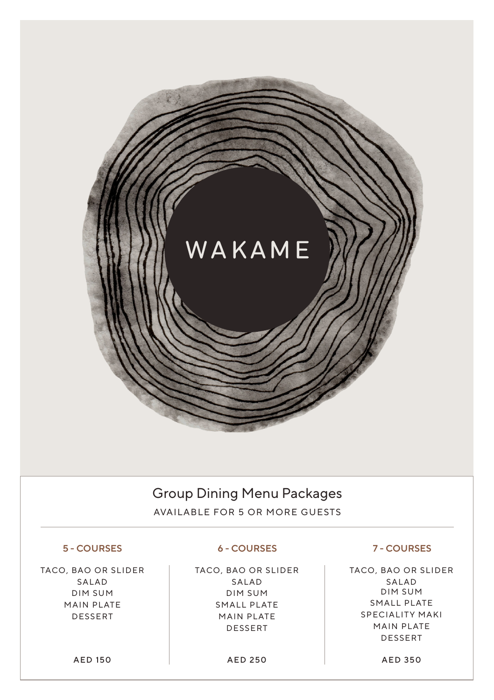# WAKAME

### Group Dining Menu Packages

AVAILABLE FOR 5 OR MORE GUESTS

#### **5 - COURSES 6 - COURSES 7 - COURSES**

TACO, BAO OR SLIDER SALAD DIM SUM MAIN PLATE DESSERT

TACO, BAO OR SLIDER SALAD DIM SUM SMALL PLATE MAIN PLATE DESSERT

TACO, BAO OR SLIDER SALAD DIM SUM SMALL PLATE SPECIALITY MAKI MAIN PLATE DESSERT

AED 150 AED 250 AED 350